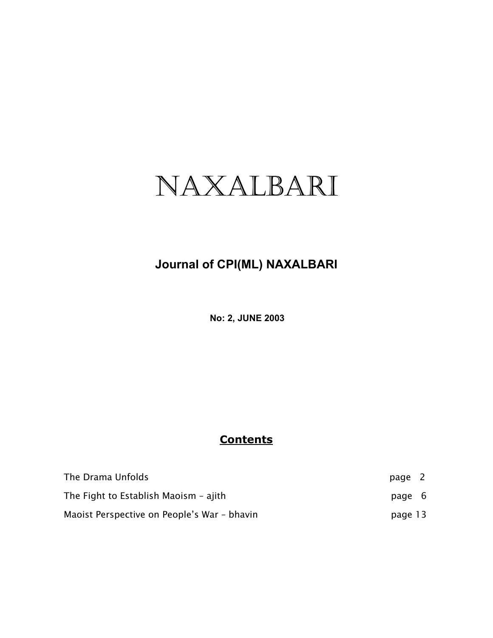# NAXALBARI

# **Journal of CPI(ML) NAXALBARI**

**No: 2, JUNE 2003**

## **Contents**

| The Drama Unfolds                           | page 2  |  |
|---------------------------------------------|---------|--|
| The Fight to Establish Maoism - ajith       | page 6  |  |
| Maoist Perspective on People's War - bhavin | page 13 |  |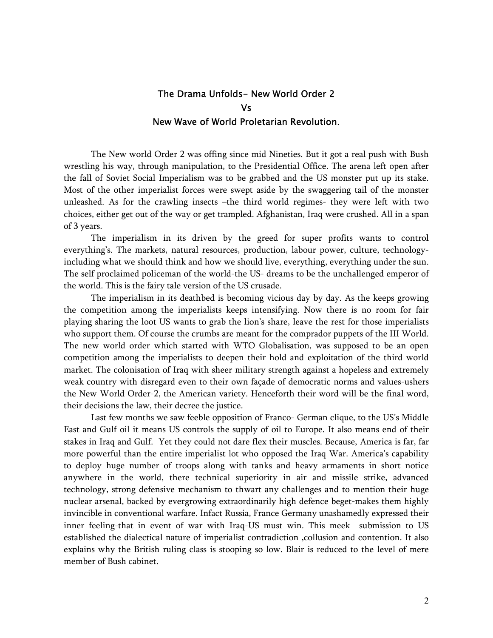### The Drama Unfolds- New World Order 2 Vs New Wave of World Proletarian Revolution.

The New world Order 2 was offing since mid Nineties. But it got a real push with Bush wrestling his way, through manipulation, to the Presidential Office. The arena left open after the fall of Soviet Social Imperialism was to be grabbed and the US monster put up its stake. Most of the other imperialist forces were swept aside by the swaggering tail of the monster unleashed. As for the crawling insects –the third world regimes- they were left with two choices, either get out of the way or get trampled. Afghanistan, Iraq were crushed. All in a span of 3 years.

 The imperialism in its driven by the greed for super profits wants to control everything's. The markets, natural resources, production, labour power, culture, technologyincluding what we should think and how we should live, everything, everything under the sun. The self proclaimed policeman of the world-the US- dreams to be the unchallenged emperor of the world. This is the fairy tale version of the US crusade.

 The imperialism in its deathbed is becoming vicious day by day. As the keeps growing the competition among the imperialists keeps intensifying. Now there is no room for fair playing sharing the loot US wants to grab the lion's share, leave the rest for those imperialists who support them. Of course the crumbs are meant for the comprador puppets of the III World. The new world order which started with WTO Globalisation, was supposed to be an open competition among the imperialists to deepen their hold and exploitation of the third world market. The colonisation of Iraq with sheer military strength against a hopeless and extremely weak country with disregard even to their own façade of democratic norms and values-ushers the New World Order-2, the American variety. Henceforth their word will be the final word, their decisions the law, their decree the justice.

 Last few months we saw feeble opposition of Franco- German clique, to the US's Middle East and Gulf oil it means US controls the supply of oil to Europe. It also means end of their stakes in Iraq and Gulf. Yet they could not dare flex their muscles. Because, America is far, far more powerful than the entire imperialist lot who opposed the Iraq War. America's capability to deploy huge number of troops along with tanks and heavy armaments in short notice anywhere in the world, there technical superiority in air and missile strike, advanced technology, strong defensive mechanism to thwart any challenges and to mention their huge nuclear arsenal, backed by evergrowing extraordinarily high defence beget-makes them highly invincible in conventional warfare. Infact Russia, France Germany unashamedly expressed their inner feeling-that in event of war with Iraq-US must win. This meek submission to US established the dialectical nature of imperialist contradiction ,collusion and contention. It also explains why the British ruling class is stooping so low. Blair is reduced to the level of mere member of Bush cabinet.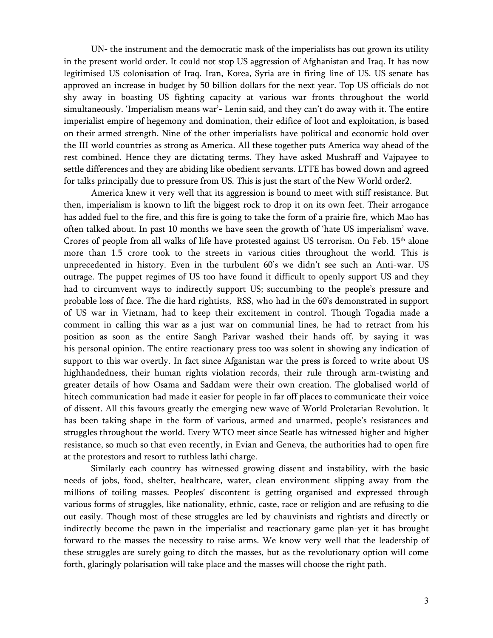UN- the instrument and the democratic mask of the imperialists has out grown its utility in the present world order. It could not stop US aggression of Afghanistan and Iraq. It has now legitimised US colonisation of Iraq. Iran, Korea, Syria are in firing line of US. US senate has approved an increase in budget by 50 billion dollars for the next year. Top US officials do not shy away in boasting US fighting capacity at various war fronts throughout the world simultaneously. 'Imperialism means war'- Lenin said, and they can't do away with it. The entire imperialist empire of hegemony and domination, their edifice of loot and exploitation, is based on their armed strength. Nine of the other imperialists have political and economic hold over the III world countries as strong as America. All these together puts America way ahead of the rest combined. Hence they are dictating terms. They have asked Mushraff and Vajpayee to settle differences and they are abiding like obedient servants. LTTE has bowed down and agreed for talks principally due to pressure from US. This is just the start of the New World order2.

America knew it very well that its aggression is bound to meet with stiff resistance. But then, imperialism is known to lift the biggest rock to drop it on its own feet. Their arrogance has added fuel to the fire, and this fire is going to take the form of a prairie fire, which Mao has often talked about. In past 10 months we have seen the growth of 'hate US imperialism' wave. Crores of people from all walks of life have protested against US terrorism. On Feb.  $15<sup>th</sup>$  alone more than 1.5 crore took to the streets in various cities throughout the world. This is unprecedented in history. Even in the turbulent 60's we didn't see such an Anti-war. US outrage. The puppet regimes of US too have found it difficult to openly support US and they had to circumvent ways to indirectly support US; succumbing to the people's pressure and probable loss of face. The die hard rightists, RSS, who had in the 60's demonstrated in support of US war in Vietnam, had to keep their excitement in control. Though Togadia made a comment in calling this war as a just war on communial lines, he had to retract from his position as soon as the entire Sangh Parivar washed their hands off, by saying it was his personal opinion. The entire reactionary press too was solent in showing any indication of support to this war overtly. In fact since Afganistan war the press is forced to write about US highhandedness, their human rights violation records, their rule through arm-twisting and greater details of how Osama and Saddam were their own creation. The globalised world of hitech communication had made it easier for people in far off places to communicate their voice of dissent. All this favours greatly the emerging new wave of World Proletarian Revolution. It has been taking shape in the form of various, armed and unarmed, people's resistances and struggles throughout the world. Every WTO meet since Seatle has witnessed higher and higher resistance, so much so that even recently, in Evian and Geneva, the authorities had to open fire at the protestors and resort to ruthless lathi charge.

 Similarly each country has witnessed growing dissent and instability, with the basic needs of jobs, food, shelter, healthcare, water, clean environment slipping away from the millions of toiling masses. Peoples' discontent is getting organised and expressed through various forms of struggles, like nationality, ethnic, caste, race or religion and are refusing to die out easily. Though most of these struggles are led by chauvinists and rightists and directly or indirectly become the pawn in the imperialist and reactionary game plan-yet it has brought forward to the masses the necessity to raise arms. We know very well that the leadership of these struggles are surely going to ditch the masses, but as the revolutionary option will come forth, glaringly polarisation will take place and the masses will choose the right path.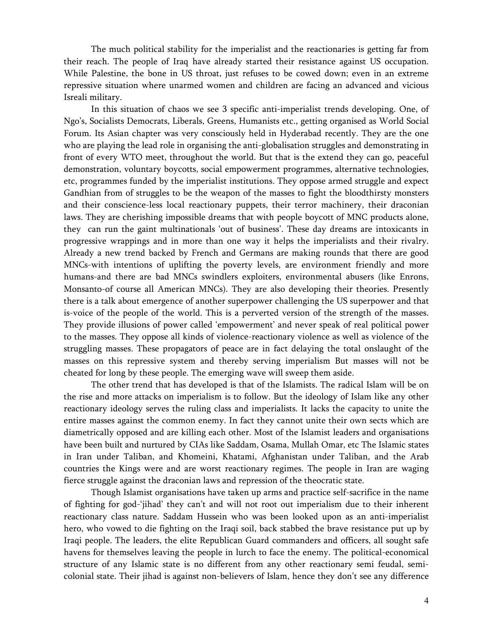The much political stability for the imperialist and the reactionaries is getting far from their reach. The people of Iraq have already started their resistance against US occupation. While Palestine, the bone in US throat, just refuses to be cowed down; even in an extreme repressive situation where unarmed women and children are facing an advanced and vicious Isreali military.

 In this situation of chaos we see 3 specific anti-imperialist trends developing. One, of Ngo's, Socialists Democrats, Liberals, Greens, Humanists etc., getting organised as World Social Forum. Its Asian chapter was very consciously held in Hyderabad recently. They are the one who are playing the lead role in organising the anti-globalisation struggles and demonstrating in front of every WTO meet, throughout the world. But that is the extend they can go, peaceful demonstration, voluntary boycotts, social empowerment programmes, alternative technologies, etc, programmes funded by the imperialist institutions. They oppose armed struggle and expect Gandhian from of struggles to be the weapon of the masses to fight the bloodthirsty monsters and their conscience-less local reactionary puppets, their terror machinery, their draconian laws. They are cherishing impossible dreams that with people boycott of MNC products alone, they can run the gaint multinationals 'out of business'. These day dreams are intoxicants in progressive wrappings and in more than one way it helps the imperialists and their rivalry. Already a new trend backed by French and Germans are making rounds that there are good MNCs-with intentions of uplifting the poverty levels, are environment friendly and more humans-and there are bad MNCs swindlers exploiters, environmental abusers (like Enrons, Monsanto-of course all American MNCs). They are also developing their theories. Presently there is a talk about emergence of another superpower challenging the US superpower and that is-voice of the people of the world. This is a perverted version of the strength of the masses. They provide illusions of power called 'empowerment' and never speak of real political power to the masses. They oppose all kinds of violence-reactionary violence as well as violence of the struggling masses. These propagators of peace are in fact delaying the total onslaught of the masses on this repressive system and thereby serving imperialism But masses will not be cheated for long by these people. The emerging wave will sweep them aside.

 The other trend that has developed is that of the Islamists. The radical Islam will be on the rise and more attacks on imperialism is to follow. But the ideology of Islam like any other reactionary ideology serves the ruling class and imperialists. It lacks the capacity to unite the entire masses against the common enemy. In fact they cannot unite their own sects which are diametrically opposed and are killing each other. Most of the Islamist leaders and organisations have been built and nurtured by CIAs like Saddam, Osama, Mullah Omar, etc The Islamic states in Iran under Taliban, and Khomeini, Khatami, Afghanistan under Taliban, and the Arab countries the Kings were and are worst reactionary regimes. The people in Iran are waging fierce struggle against the draconian laws and repression of the theocratic state.

 Though Islamist organisations have taken up arms and practice self-sacrifice in the name of fighting for god-'jihad' they can't and will not root out imperialism due to their inherent reactionary class nature. Saddam Hussein who was been looked upon as an anti-imperialist hero, who vowed to die fighting on the Iraqi soil, back stabbed the brave resistance put up by Iraqi people. The leaders, the elite Republican Guard commanders and officers, all sought safe havens for themselves leaving the people in lurch to face the enemy. The political-economical structure of any Islamic state is no different from any other reactionary semi feudal, semicolonial state. Their jihad is against non-believers of Islam, hence they don't see any difference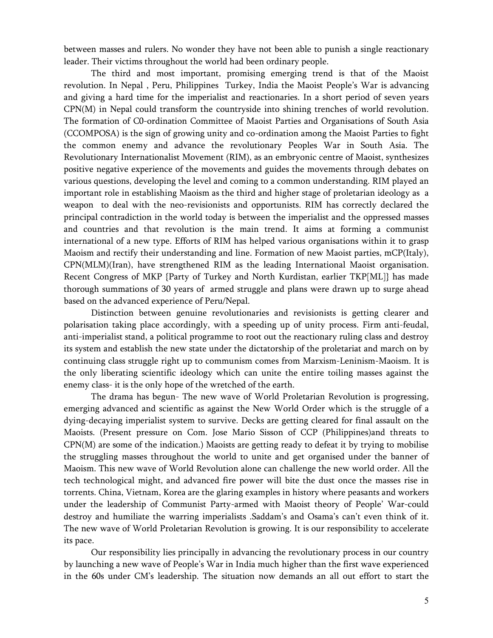between masses and rulers. No wonder they have not been able to punish a single reactionary leader. Their victims throughout the world had been ordinary people.

 The third and most important, promising emerging trend is that of the Maoist revolution. In Nepal , Peru, Philippines Turkey, India the Maoist People's War is advancing and giving a hard time for the imperialist and reactionaries. In a short period of seven years CPN(M) in Nepal could transform the countryside into shining trenches of world revolution. The formation of C0-ordination Committee of Maoist Parties and Organisations of South Asia (CCOMPOSA) is the sign of growing unity and co-ordination among the Maoist Parties to fight the common enemy and advance the revolutionary Peoples War in South Asia. The Revolutionary Internationalist Movement (RIM), as an embryonic centre of Maoist, synthesizes positive negative experience of the movements and guides the movements through debates on various questions, developing the level and coming to a common understanding. RIM played an important role in establishing Maoism as the third and higher stage of proletarian ideology as a weapon to deal with the neo-revisionists and opportunists. RIM has correctly declared the principal contradiction in the world today is between the imperialist and the oppressed masses and countries and that revolution is the main trend. It aims at forming a communist international of a new type. Efforts of RIM has helped various organisations within it to grasp Maoism and rectify their understanding and line. Formation of new Maoist parties, mCP(Italy), CPN(MLM)(Iran), have strengthened RIM as the leading International Maoist organisation. Recent Congress of MKP {Party of Turkey and North Kurdistan, earlier TKP[ML]} has made thorough summations of 30 years of armed struggle and plans were drawn up to surge ahead based on the advanced experience of Peru/Nepal.

 Distinction between genuine revolutionaries and revisionists is getting clearer and polarisation taking place accordingly, with a speeding up of unity process. Firm anti-feudal, anti-imperialist stand, a political programme to root out the reactionary ruling class and destroy its system and establish the new state under the dictatorship of the proletariat and march on by continuing class struggle right up to communism comes from Marxism-Leninism-Maoism. It is the only liberating scientific ideology which can unite the entire toiling masses against the enemy class- it is the only hope of the wretched of the earth.

 The drama has begun- The new wave of World Proletarian Revolution is progressing, emerging advanced and scientific as against the New World Order which is the struggle of a dying-decaying imperialist system to survive. Decks are getting cleared for final assault on the Maoists. (Present pressure on Com. Jose Mario Sisson of CCP (Philippines)and threats to CPN(M) are some of the indication.) Maoists are getting ready to defeat it by trying to mobilise the struggling masses throughout the world to unite and get organised under the banner of Maoism. This new wave of World Revolution alone can challenge the new world order. All the tech technological might, and advanced fire power will bite the dust once the masses rise in torrents. China, Vietnam, Korea are the glaring examples in history where peasants and workers under the leadership of Communist Party-armed with Maoist theory of People' War-could destroy and humiliate the warring imperialists .Saddam's and Osama's can't even think of it. The new wave of World Proletarian Revolution is growing. It is our responsibility to accelerate its pace.

 Our responsibility lies principally in advancing the revolutionary process in our country by launching a new wave of People's War in India much higher than the first wave experienced in the 60s under CM's leadership. The situation now demands an all out effort to start the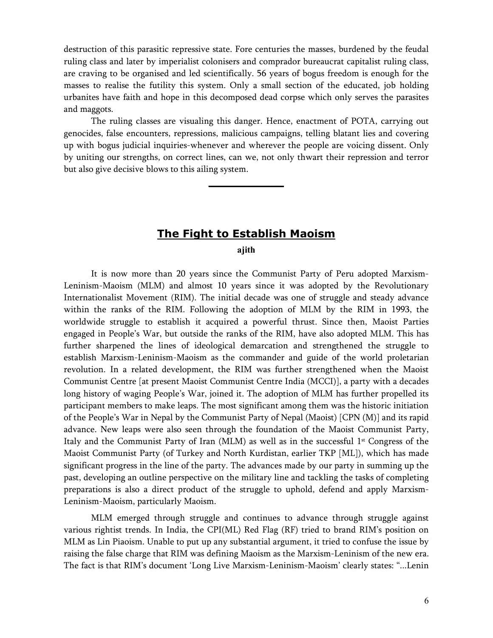destruction of this parasitic repressive state. Fore centuries the masses, burdened by the feudal ruling class and later by imperialist colonisers and comprador bureaucrat capitalist ruling class, are craving to be organised and led scientifically. 56 years of bogus freedom is enough for the masses to realise the futility this system. Only a small section of the educated, job holding urbanites have faith and hope in this decomposed dead corpse which only serves the parasites and maggots.

 The ruling classes are visualing this danger. Hence, enactment of POTA, carrying out genocides, false encounters, repressions, malicious campaigns, telling blatant lies and covering up with bogus judicial inquiries-whenever and wherever the people are voicing dissent. Only by uniting our strengths, on correct lines, can we, not only thwart their repression and terror but also give decisive blows to this ailing system.

**\_\_\_\_\_\_\_\_\_\_**

#### **The Fight to Establish Maoism**

**ajith** 

It is now more than 20 years since the Communist Party of Peru adopted Marxism-Leninism-Maoism (MLM) and almost 10 years since it was adopted by the Revolutionary Internationalist Movement (RIM). The initial decade was one of struggle and steady advance within the ranks of the RIM. Following the adoption of MLM by the RIM in 1993, the worldwide struggle to establish it acquired a powerful thrust. Since then, Maoist Parties engaged in People's War, but outside the ranks of the RIM, have also adopted MLM. This has further sharpened the lines of ideological demarcation and strengthened the struggle to establish Marxism-Leninism-Maoism as the commander and guide of the world proletarian revolution. In a related development, the RIM was further strengthened when the Maoist Communist Centre [at present Maoist Communist Centre India (MCCI)], a party with a decades long history of waging People's War, joined it. The adoption of MLM has further propelled its participant members to make leaps. The most significant among them was the historic initiation of the People's War in Nepal by the Communist Party of Nepal (Maoist) [CPN (M)] and its rapid advance. New leaps were also seen through the foundation of the Maoist Communist Party, Italy and the Communist Party of Iran (MLM) as well as in the successful  $1<sup>st</sup>$  Congress of the Maoist Communist Party (of Turkey and North Kurdistan, earlier TKP [ML]), which has made significant progress in the line of the party. The advances made by our party in summing up the past, developing an outline perspective on the military line and tackling the tasks of completing preparations is also a direct product of the struggle to uphold, defend and apply Marxism-Leninism-Maoism, particularly Maoism.

MLM emerged through struggle and continues to advance through struggle against various rightist trends. In India, the CPI(ML) Red Flag (RF) tried to brand RIM's position on MLM as Lin Piaoism. Unable to put up any substantial argument, it tried to confuse the issue by raising the false charge that RIM was defining Maoism as the Marxism-Leninism of the new era. The fact is that RIM's document 'Long Live Marxism-Leninism-Maoism' clearly states: "...Lenin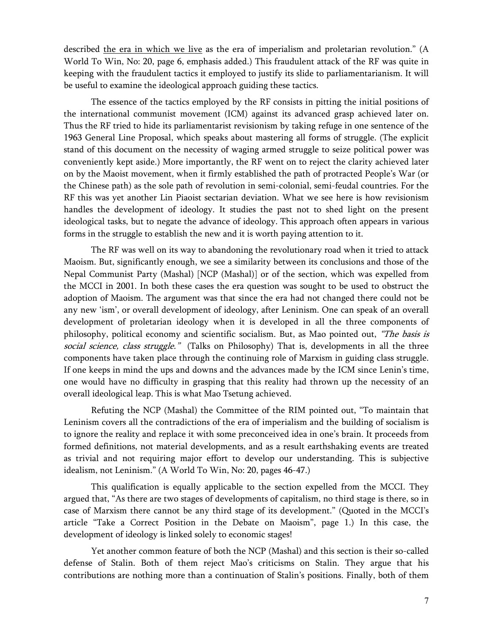described the era in which we live as the era of imperialism and proletarian revolution." (A World To Win, No: 20, page 6, emphasis added.) This fraudulent attack of the RF was quite in keeping with the fraudulent tactics it employed to justify its slide to parliamentarianism. It will be useful to examine the ideological approach guiding these tactics.

The essence of the tactics employed by the RF consists in pitting the initial positions of the international communist movement (ICM) against its advanced grasp achieved later on. Thus the RF tried to hide its parliamentarist revisionism by taking refuge in one sentence of the 1963 General Line Proposal, which speaks about mastering all forms of struggle. (The explicit stand of this document on the necessity of waging armed struggle to seize political power was conveniently kept aside.) More importantly, the RF went on to reject the clarity achieved later on by the Maoist movement, when it firmly established the path of protracted People's War (or the Chinese path) as the sole path of revolution in semi-colonial, semi-feudal countries. For the RF this was yet another Lin Piaoist sectarian deviation. What we see here is how revisionism handles the development of ideology. It studies the past not to shed light on the present ideological tasks, but to negate the advance of ideology. This approach often appears in various forms in the struggle to establish the new and it is worth paying attention to it.

The RF was well on its way to abandoning the revolutionary road when it tried to attack Maoism. But, significantly enough, we see a similarity between its conclusions and those of the Nepal Communist Party (Mashal) [NCP (Mashal)] or of the section, which was expelled from the MCCI in 2001. In both these cases the era question was sought to be used to obstruct the adoption of Maoism. The argument was that since the era had not changed there could not be any new 'ism', or overall development of ideology, after Leninism. One can speak of an overall development of proletarian ideology when it is developed in all the three components of philosophy, political economy and scientific socialism. But, as Mao pointed out, "The basis is social science, class struggle." (Talks on Philosophy) That is, developments in all the three components have taken place through the continuing role of Marxism in guiding class struggle. If one keeps in mind the ups and downs and the advances made by the ICM since Lenin's time, one would have no difficulty in grasping that this reality had thrown up the necessity of an overall ideological leap. This is what Mao Tsetung achieved.

Refuting the NCP (Mashal) the Committee of the RIM pointed out, "To maintain that Leninism covers all the contradictions of the era of imperialism and the building of socialism is to ignore the reality and replace it with some preconceived idea in one's brain. It proceeds from formed definitions, not material developments, and as a result earthshaking events are treated as trivial and not requiring major effort to develop our understanding. This is subjective idealism, not Leninism." (A World To Win, No: 20, pages 46-47.)

This qualification is equally applicable to the section expelled from the MCCI. They argued that, "As there are two stages of developments of capitalism, no third stage is there, so in case of Marxism there cannot be any third stage of its development." (Quoted in the MCCI's article "Take a Correct Position in the Debate on Maoism", page 1.) In this case, the development of ideology is linked solely to economic stages!

Yet another common feature of both the NCP (Mashal) and this section is their so-called defense of Stalin. Both of them reject Mao's criticisms on Stalin. They argue that his contributions are nothing more than a continuation of Stalin's positions. Finally, both of them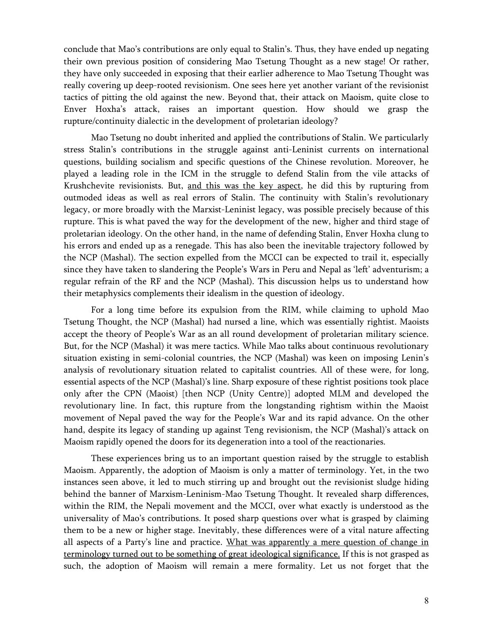conclude that Mao's contributions are only equal to Stalin's. Thus, they have ended up negating their own previous position of considering Mao Tsetung Thought as a new stage! Or rather, they have only succeeded in exposing that their earlier adherence to Mao Tsetung Thought was really covering up deep-rooted revisionism. One sees here yet another variant of the revisionist tactics of pitting the old against the new. Beyond that, their attack on Maoism, quite close to Enver Hoxha's attack, raises an important question. How should we grasp the rupture/continuity dialectic in the development of proletarian ideology?

Mao Tsetung no doubt inherited and applied the contributions of Stalin. We particularly stress Stalin's contributions in the struggle against anti-Leninist currents on international questions, building socialism and specific questions of the Chinese revolution. Moreover, he played a leading role in the ICM in the struggle to defend Stalin from the vile attacks of Krushchevite revisionists. But, and this was the key aspect, he did this by rupturing from outmoded ideas as well as real errors of Stalin. The continuity with Stalin's revolutionary legacy, or more broadly with the Marxist-Leninist legacy, was possible precisely because of this rupture. This is what paved the way for the development of the new, higher and third stage of proletarian ideology. On the other hand, in the name of defending Stalin, Enver Hoxha clung to his errors and ended up as a renegade. This has also been the inevitable trajectory followed by the NCP (Mashal). The section expelled from the MCCI can be expected to trail it, especially since they have taken to slandering the People's Wars in Peru and Nepal as 'left' adventurism; a regular refrain of the RF and the NCP (Mashal). This discussion helps us to understand how their metaphysics complements their idealism in the question of ideology.

For a long time before its expulsion from the RIM, while claiming to uphold Mao Tsetung Thought, the NCP (Mashal) had nursed a line, which was essentially rightist. Maoists accept the theory of People's War as an all round development of proletarian military science. But, for the NCP (Mashal) it was mere tactics. While Mao talks about continuous revolutionary situation existing in semi-colonial countries, the NCP (Mashal) was keen on imposing Lenin's analysis of revolutionary situation related to capitalist countries. All of these were, for long, essential aspects of the NCP (Mashal)'s line. Sharp exposure of these rightist positions took place only after the CPN (Maoist) [then NCP (Unity Centre)] adopted MLM and developed the revolutionary line. In fact, this rupture from the longstanding rightism within the Maoist movement of Nepal paved the way for the People's War and its rapid advance. On the other hand, despite its legacy of standing up against Teng revisionism, the NCP (Mashal)'s attack on Maoism rapidly opened the doors for its degeneration into a tool of the reactionaries.

These experiences bring us to an important question raised by the struggle to establish Maoism. Apparently, the adoption of Maoism is only a matter of terminology. Yet, in the two instances seen above, it led to much stirring up and brought out the revisionist sludge hiding behind the banner of Marxism-Leninism-Mao Tsetung Thought. It revealed sharp differences, within the RIM, the Nepali movement and the MCCI, over what exactly is understood as the universality of Mao's contributions. It posed sharp questions over what is grasped by claiming them to be a new or higher stage. Inevitably, these differences were of a vital nature affecting all aspects of a Party's line and practice. What was apparently a mere question of change in terminology turned out to be something of great ideological significance. If this is not grasped as such, the adoption of Maoism will remain a mere formality. Let us not forget that the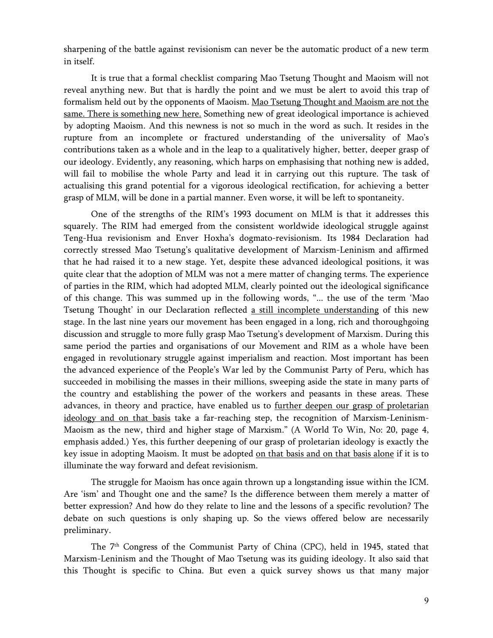sharpening of the battle against revisionism can never be the automatic product of a new term in itself.

It is true that a formal checklist comparing Mao Tsetung Thought and Maoism will not reveal anything new. But that is hardly the point and we must be alert to avoid this trap of formalism held out by the opponents of Maoism. Mao Tsetung Thought and Maoism are not the same. There is something new here. Something new of great ideological importance is achieved by adopting Maoism. And this newness is not so much in the word as such. It resides in the rupture from an incomplete or fractured understanding of the universality of Mao's contributions taken as a whole and in the leap to a qualitatively higher, better, deeper grasp of our ideology. Evidently, any reasoning, which harps on emphasising that nothing new is added, will fail to mobilise the whole Party and lead it in carrying out this rupture. The task of actualising this grand potential for a vigorous ideological rectification, for achieving a better grasp of MLM, will be done in a partial manner. Even worse, it will be left to spontaneity.

One of the strengths of the RIM's 1993 document on MLM is that it addresses this squarely. The RIM had emerged from the consistent worldwide ideological struggle against Teng-Hua revisionism and Enver Hoxha's dogmato-revisionism. Its 1984 Declaration had correctly stressed Mao Tsetung's qualitative development of Marxism-Leninism and affirmed that he had raised it to a new stage. Yet, despite these advanced ideological positions, it was quite clear that the adoption of MLM was not a mere matter of changing terms. The experience of parties in the RIM, which had adopted MLM, clearly pointed out the ideological significance of this change. This was summed up in the following words, "... the use of the term 'Mao Tsetung Thought' in our Declaration reflected a still incomplete understanding of this new stage. In the last nine years our movement has been engaged in a long, rich and thoroughgoing discussion and struggle to more fully grasp Mao Tsetung's development of Marxism. During this same period the parties and organisations of our Movement and RIM as a whole have been engaged in revolutionary struggle against imperialism and reaction. Most important has been the advanced experience of the People's War led by the Communist Party of Peru, which has succeeded in mobilising the masses in their millions, sweeping aside the state in many parts of the country and establishing the power of the workers and peasants in these areas. These advances, in theory and practice, have enabled us to further deepen our grasp of proletarian ideology and on that basis take a far-reaching step, the recognition of Marxism-Leninism-Maoism as the new, third and higher stage of Marxism." (A World To Win, No: 20, page 4, emphasis added.) Yes, this further deepening of our grasp of proletarian ideology is exactly the key issue in adopting Maoism. It must be adopted on that basis and on that basis alone if it is to illuminate the way forward and defeat revisionism.

The struggle for Maoism has once again thrown up a longstanding issue within the ICM. Are 'ism' and Thought one and the same? Is the difference between them merely a matter of better expression? And how do they relate to line and the lessons of a specific revolution? The debate on such questions is only shaping up. So the views offered below are necessarily preliminary.

The 7th Congress of the Communist Party of China (CPC), held in 1945, stated that Marxism-Leninism and the Thought of Mao Tsetung was its guiding ideology. It also said that this Thought is specific to China. But even a quick survey shows us that many major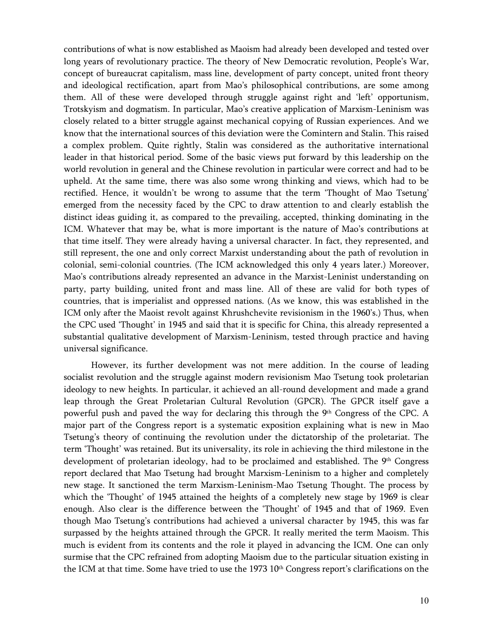contributions of what is now established as Maoism had already been developed and tested over long years of revolutionary practice. The theory of New Democratic revolution, People's War, concept of bureaucrat capitalism, mass line, development of party concept, united front theory and ideological rectification, apart from Mao's philosophical contributions, are some among them. All of these were developed through struggle against right and 'left' opportunism, Trotskyism and dogmatism. In particular, Mao's creative application of Marxism-Leninism was closely related to a bitter struggle against mechanical copying of Russian experiences. And we know that the international sources of this deviation were the Comintern and Stalin. This raised a complex problem. Quite rightly, Stalin was considered as the authoritative international leader in that historical period. Some of the basic views put forward by this leadership on the world revolution in general and the Chinese revolution in particular were correct and had to be upheld. At the same time, there was also some wrong thinking and views, which had to be rectified. Hence, it wouldn't be wrong to assume that the term 'Thought of Mao Tsetung' emerged from the necessity faced by the CPC to draw attention to and clearly establish the distinct ideas guiding it, as compared to the prevailing, accepted, thinking dominating in the ICM. Whatever that may be, what is more important is the nature of Mao's contributions at that time itself. They were already having a universal character. In fact, they represented, and still represent, the one and only correct Marxist understanding about the path of revolution in colonial, semi-colonial countries. (The ICM acknowledged this only 4 years later.) Moreover, Mao's contributions already represented an advance in the Marxist-Leninist understanding on party, party building, united front and mass line. All of these are valid for both types of countries, that is imperialist and oppressed nations. (As we know, this was established in the ICM only after the Maoist revolt against Khrushchevite revisionism in the 1960's.) Thus, when the CPC used 'Thought' in 1945 and said that it is specific for China, this already represented a substantial qualitative development of Marxism-Leninism, tested through practice and having universal significance.

However, its further development was not mere addition. In the course of leading socialist revolution and the struggle against modern revisionism Mao Tsetung took proletarian ideology to new heights. In particular, it achieved an all-round development and made a grand leap through the Great Proletarian Cultural Revolution (GPCR). The GPCR itself gave a powerful push and paved the way for declaring this through the  $9<sup>th</sup>$  Congress of the CPC. A major part of the Congress report is a systematic exposition explaining what is new in Mao Tsetung's theory of continuing the revolution under the dictatorship of the proletariat. The term 'Thought' was retained. But its universality, its role in achieving the third milestone in the development of proletarian ideology, had to be proclaimed and established. The  $9<sup>th</sup>$  Congress report declared that Mao Tsetung had brought Marxism-Leninism to a higher and completely new stage. It sanctioned the term Marxism-Leninism-Mao Tsetung Thought. The process by which the 'Thought' of 1945 attained the heights of a completely new stage by 1969 is clear enough. Also clear is the difference between the 'Thought' of 1945 and that of 1969. Even though Mao Tsetung's contributions had achieved a universal character by 1945, this was far surpassed by the heights attained through the GPCR. It really merited the term Maoism. This much is evident from its contents and the role it played in advancing the ICM. One can only surmise that the CPC refrained from adopting Maoism due to the particular situation existing in the ICM at that time. Some have tried to use the 1973 10<sup>th</sup> Congress report's clarifications on the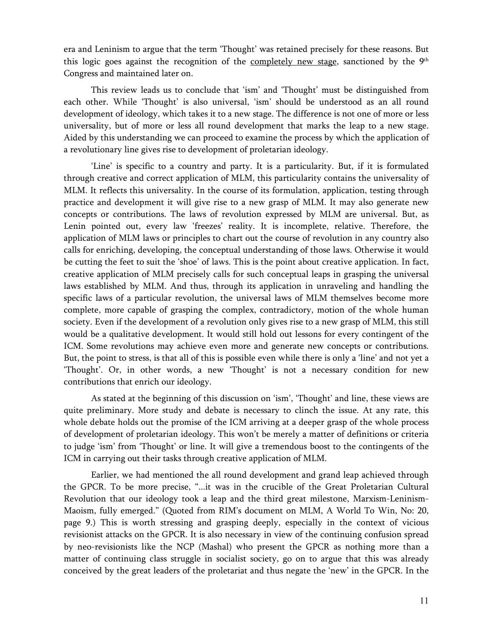era and Leninism to argue that the term 'Thought' was retained precisely for these reasons. But this logic goes against the recognition of the completely new stage, sanctioned by the 9<sup>th</sup> Congress and maintained later on.

This review leads us to conclude that 'ism' and 'Thought' must be distinguished from each other. While 'Thought' is also universal, 'ism' should be understood as an all round development of ideology, which takes it to a new stage. The difference is not one of more or less universality, but of more or less all round development that marks the leap to a new stage. Aided by this understanding we can proceed to examine the process by which the application of a revolutionary line gives rise to development of proletarian ideology.

'Line' is specific to a country and party. It is a particularity. But, if it is formulated through creative and correct application of MLM, this particularity contains the universality of MLM. It reflects this universality. In the course of its formulation, application, testing through practice and development it will give rise to a new grasp of MLM. It may also generate new concepts or contributions. The laws of revolution expressed by MLM are universal. But, as Lenin pointed out, every law 'freezes' reality. It is incomplete, relative. Therefore, the application of MLM laws or principles to chart out the course of revolution in any country also calls for enriching, developing, the conceptual understanding of those laws. Otherwise it would be cutting the feet to suit the 'shoe' of laws. This is the point about creative application. In fact, creative application of MLM precisely calls for such conceptual leaps in grasping the universal laws established by MLM. And thus, through its application in unraveling and handling the specific laws of a particular revolution, the universal laws of MLM themselves become more complete, more capable of grasping the complex, contradictory, motion of the whole human society. Even if the development of a revolution only gives rise to a new grasp of MLM, this still would be a qualitative development. It would still hold out lessons for every contingent of the ICM. Some revolutions may achieve even more and generate new concepts or contributions. But, the point to stress, is that all of this is possible even while there is only a 'line' and not yet a 'Thought'. Or, in other words, a new 'Thought' is not a necessary condition for new contributions that enrich our ideology.

As stated at the beginning of this discussion on 'ism', 'Thought' and line, these views are quite preliminary. More study and debate is necessary to clinch the issue. At any rate, this whole debate holds out the promise of the ICM arriving at a deeper grasp of the whole process of development of proletarian ideology. This won't be merely a matter of definitions or criteria to judge 'ism' from 'Thought' or line. It will give a tremendous boost to the contingents of the ICM in carrying out their tasks through creative application of MLM.

Earlier, we had mentioned the all round development and grand leap achieved through the GPCR. To be more precise, "...it was in the crucible of the Great Proletarian Cultural Revolution that our ideology took a leap and the third great milestone, Marxism-Leninism-Maoism, fully emerged." (Quoted from RIM's document on MLM, A World To Win, No: 20, page 9.) This is worth stressing and grasping deeply, especially in the context of vicious revisionist attacks on the GPCR. It is also necessary in view of the continuing confusion spread by neo-revisionists like the NCP (Mashal) who present the GPCR as nothing more than a matter of continuing class struggle in socialist society, go on to argue that this was already conceived by the great leaders of the proletariat and thus negate the 'new' in the GPCR. In the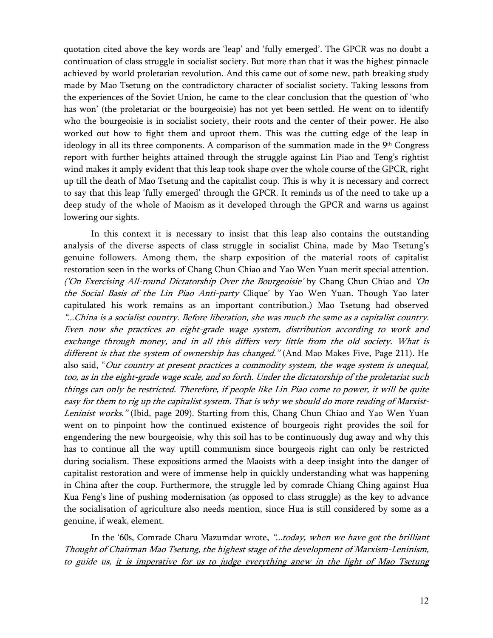quotation cited above the key words are 'leap' and 'fully emerged'. The GPCR was no doubt a continuation of class struggle in socialist society. But more than that it was the highest pinnacle achieved by world proletarian revolution. And this came out of some new, path breaking study made by Mao Tsetung on the contradictory character of socialist society. Taking lessons from the experiences of the Soviet Union, he came to the clear conclusion that the question of 'who has won' (the proletariat or the bourgeoisie) has not yet been settled. He went on to identify who the bourgeoisie is in socialist society, their roots and the center of their power. He also worked out how to fight them and uproot them. This was the cutting edge of the leap in ideology in all its three components. A comparison of the summation made in the 9<sup>th</sup> Congress report with further heights attained through the struggle against Lin Piao and Teng's rightist wind makes it amply evident that this leap took shape over the whole course of the GPCR, right up till the death of Mao Tsetung and the capitalist coup. This is why it is necessary and correct to say that this leap 'fully emerged' through the GPCR. It reminds us of the need to take up a deep study of the whole of Maoism as it developed through the GPCR and warns us against lowering our sights.

In this context it is necessary to insist that this leap also contains the outstanding analysis of the diverse aspects of class struggle in socialist China, made by Mao Tsetung's genuine followers. Among them, the sharp exposition of the material roots of capitalist restoration seen in the works of Chang Chun Chiao and Yao Wen Yuan merit special attention. ('On Exercising All-round Dictatorship Over the Bourgeoisie' by Chang Chun Chiao and 'On the Social Basis of the Lin Piao Anti-party Clique' by Yao Wen Yuan. Though Yao later capitulated his work remains as an important contribution.) Mao Tsetung had observed "...China is a socialist country. Before liberation, she was much the same as a capitalist country. Even now she practices an eight-grade wage system, distribution according to work and exchange through money, and in all this differs very little from the old society. What is different is that the system of ownership has changed." (And Mao Makes Five, Page 211). He also said, "Our country at present practices a commodity system, the wage system is unequal, too, as in the eight-grade wage scale, and so forth. Under the dictatorship of the proletariat such things can only be restricted. Therefore, if people like Lin Piao come to power, it will be quite easy for them to rig up the capitalist system. That is why we should do more reading of Marxist-Leninist works." (Ibid, page 209). Starting from this, Chang Chun Chiao and Yao Wen Yuan went on to pinpoint how the continued existence of bourgeois right provides the soil for engendering the new bourgeoisie, why this soil has to be continuously dug away and why this has to continue all the way uptill communism since bourgeois right can only be restricted during socialism. These expositions armed the Maoists with a deep insight into the danger of capitalist restoration and were of immense help in quickly understanding what was happening in China after the coup. Furthermore, the struggle led by comrade Chiang Ching against Hua Kua Feng's line of pushing modernisation (as opposed to class struggle) as the key to advance the socialisation of agriculture also needs mention, since Hua is still considered by some as a genuine, if weak, element.

In the '60s, Comrade Charu Mazumdar wrote, "...today, when we have got the brilliant Thought of Chairman Mao Tsetung, the highest stage of the development of Marxism-Leninism, to guide us, it is imperative for us to judge everything anew in the light of Mao Tsetung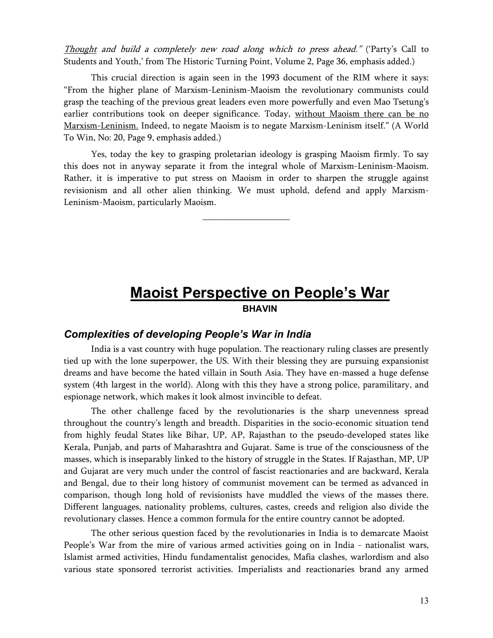Thought and build a completely new road along which to press ahead." ('Party's Call to Students and Youth,' from The Historic Turning Point, Volume 2, Page 36, emphasis added.)

This crucial direction is again seen in the 1993 document of the RIM where it says: "From the higher plane of Marxism-Leninism-Maoism the revolutionary communists could grasp the teaching of the previous great leaders even more powerfully and even Mao Tsetung's earlier contributions took on deeper significance. Today, without Maoism there can be no Marxism-Leninism. Indeed, to negate Maoism is to negate Marxism-Leninism itself." (A World To Win, No: 20, Page 9, emphasis added.)

Yes, today the key to grasping proletarian ideology is grasping Maoism firmly. To say this does not in anyway separate it from the integral whole of Marxism-Leninism-Maoism. Rather, it is imperative to put stress on Maoism in order to sharpen the struggle against revisionism and all other alien thinking. We must uphold, defend and apply Marxism-Leninism-Maoism, particularly Maoism.

\_\_\_\_\_\_\_\_\_\_\_\_\_\_\_\_\_\_\_\_\_\_\_

**Maoist Perspective on People's War BHAVIN** 

#### *Complexities of developing People's War in India*

India is a vast country with huge population. The reactionary ruling classes are presently tied up with the lone superpower, the US. With their blessing they are pursuing expansionist dreams and have become the hated villain in South Asia. They have en-massed a huge defense system (4th largest in the world). Along with this they have a strong police, paramilitary, and espionage network, which makes it look almost invincible to defeat.

The other challenge faced by the revolutionaries is the sharp unevenness spread throughout the country's length and breadth. Disparities in the socio-economic situation tend from highly feudal States like Bihar, UP, AP, Rajasthan to the pseudo-developed states like Kerala, Punjab, and parts of Maharashtra and Gujarat. Same is true of the consciousness of the masses, which is inseparably linked to the history of struggle in the States. If Rajasthan, MP, UP and Gujarat are very much under the control of fascist reactionaries and are backward, Kerala and Bengal, due to their long history of communist movement can be termed as advanced in comparison, though long hold of revisionists have muddled the views of the masses there. Different languages, nationality problems, cultures, castes, creeds and religion also divide the revolutionary classes. Hence a common formula for the entire country cannot be adopted.

The other serious question faced by the revolutionaries in India is to demarcate Maoist People's War from the mire of various armed activities going on in India - nationalist wars, Islamist armed activities, Hindu fundamentalist genocides, Mafia clashes, warlordism and also various state sponsored terrorist activities. Imperialists and reactionaries brand any armed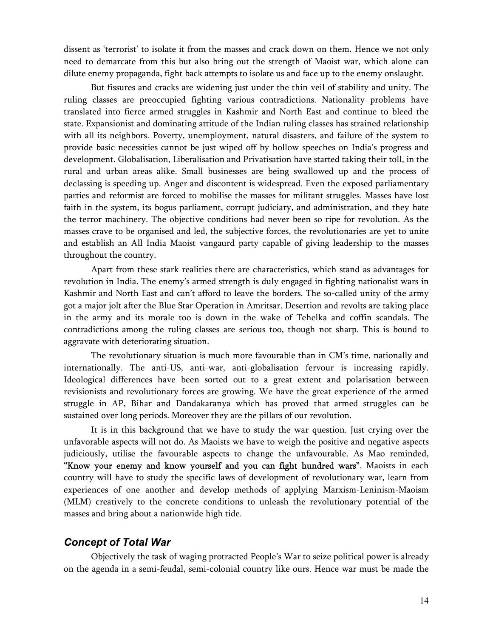dissent as 'terrorist' to isolate it from the masses and crack down on them. Hence we not only need to demarcate from this but also bring out the strength of Maoist war, which alone can dilute enemy propaganda, fight back attempts to isolate us and face up to the enemy onslaught.

But fissures and cracks are widening just under the thin veil of stability and unity. The ruling classes are preoccupied fighting various contradictions. Nationality problems have translated into fierce armed struggles in Kashmir and North East and continue to bleed the state. Expansionist and dominating attitude of the Indian ruling classes has strained relationship with all its neighbors. Poverty, unemployment, natural disasters, and failure of the system to provide basic necessities cannot be just wiped off by hollow speeches on India's progress and development. Globalisation, Liberalisation and Privatisation have started taking their toll, in the rural and urban areas alike. Small businesses are being swallowed up and the process of declassing is speeding up. Anger and discontent is widespread. Even the exposed parliamentary parties and reformist are forced to mobilise the masses for militant struggles. Masses have lost faith in the system, its bogus parliament, corrupt judiciary, and administration, and they hate the terror machinery. The objective conditions had never been so ripe for revolution. As the masses crave to be organised and led, the subjective forces, the revolutionaries are yet to unite and establish an All India Maoist vangaurd party capable of giving leadership to the masses throughout the country.

Apart from these stark realities there are characteristics, which stand as advantages for revolution in India. The enemy's armed strength is duly engaged in fighting nationalist wars in Kashmir and North East and can't afford to leave the borders. The so-called unity of the army got a major jolt after the Blue Star Operation in Amritsar. Desertion and revolts are taking place in the army and its morale too is down in the wake of Tehelka and coffin scandals. The contradictions among the ruling classes are serious too, though not sharp. This is bound to aggravate with deteriorating situation.

The revolutionary situation is much more favourable than in CM's time, nationally and internationally. The anti-US, anti-war, anti-globalisation fervour is increasing rapidly. Ideological differences have been sorted out to a great extent and polarisation between revisionists and revolutionary forces are growing. We have the great experience of the armed struggle in AP, Bihar and Dandakaranya which has proved that armed struggles can be sustained over long periods. Moreover they are the pillars of our revolution.

It is in this background that we have to study the war question. Just crying over the unfavorable aspects will not do. As Maoists we have to weigh the positive and negative aspects judiciously, utilise the favourable aspects to change the unfavourable. As Mao reminded, "Know your enemy and know yourself and you can fight hundred wars". Maoists in each country will have to study the specific laws of development of revolutionary war, learn from experiences of one another and develop methods of applying Marxism-Leninism-Maoism (MLM) creatively to the concrete conditions to unleash the revolutionary potential of the masses and bring about a nationwide high tide.

#### *Concept of Total War*

Objectively the task of waging protracted People's War to seize political power is already on the agenda in a semi-feudal, semi-colonial country like ours. Hence war must be made the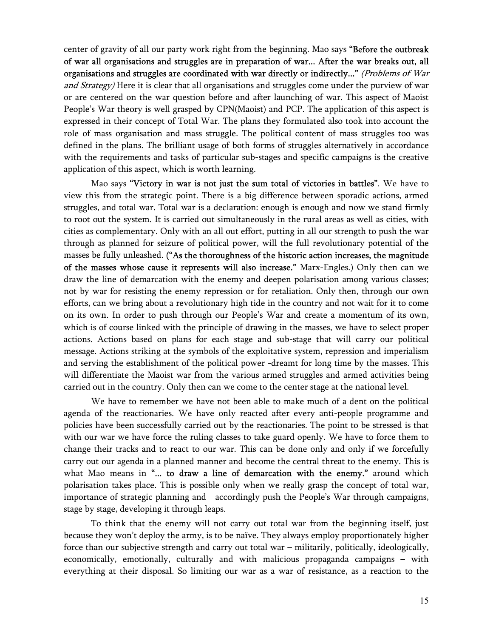center of gravity of all our party work right from the beginning. Mao says "Before the outbreak of war all organisations and struggles are in preparation of war... After the war breaks out, all organisations and struggles are coordinated with war directly or indirectly..." (Problems of War and Strategy) Here it is clear that all organisations and struggles come under the purview of war or are centered on the war question before and after launching of war. This aspect of Maoist People's War theory is well grasped by CPN(Maoist) and PCP. The application of this aspect is expressed in their concept of Total War. The plans they formulated also took into account the role of mass organisation and mass struggle. The political content of mass struggles too was defined in the plans. The brilliant usage of both forms of struggles alternatively in accordance with the requirements and tasks of particular sub-stages and specific campaigns is the creative application of this aspect, which is worth learning.

Mao says "Victory in war is not just the sum total of victories in battles". We have to view this from the strategic point. There is a big difference between sporadic actions, armed struggles, and total war. Total war is a declaration: enough is enough and now we stand firmly to root out the system. It is carried out simultaneously in the rural areas as well as cities, with cities as complementary. Only with an all out effort, putting in all our strength to push the war through as planned for seizure of political power, will the full revolutionary potential of the masses be fully unleashed. ("As the thoroughness of the historic action increases, the magnitude of the masses whose cause it represents will also increase." Marx-Engles.) Only then can we draw the line of demarcation with the enemy and deepen polarisation among various classes; not by war for resisting the enemy repression or for retaliation. Only then, through our own efforts, can we bring about a revolutionary high tide in the country and not wait for it to come on its own. In order to push through our People's War and create a momentum of its own, which is of course linked with the principle of drawing in the masses, we have to select proper actions. Actions based on plans for each stage and sub-stage that will carry our political message. Actions striking at the symbols of the exploitative system, repression and imperialism and serving the establishment of the political power -dreamt for long time by the masses. This will differentiate the Maoist war from the various armed struggles and armed activities being carried out in the country. Only then can we come to the center stage at the national level.

We have to remember we have not been able to make much of a dent on the political agenda of the reactionaries. We have only reacted after every anti-people programme and policies have been successfully carried out by the reactionaries. The point to be stressed is that with our war we have force the ruling classes to take guard openly. We have to force them to change their tracks and to react to our war. This can be done only and only if we forcefully carry out our agenda in a planned manner and become the central threat to the enemy. This is what Mao means in "... to draw a line of demarcation with the enemy." around which polarisation takes place. This is possible only when we really grasp the concept of total war, importance of strategic planning and accordingly push the People's War through campaigns, stage by stage, developing it through leaps.

To think that the enemy will not carry out total war from the beginning itself, just because they won't deploy the army, is to be naïve. They always employ proportionately higher force than our subjective strength and carry out total war – militarily, politically, ideologically, economically, emotionally, culturally and with malicious propaganda campaigns – with everything at their disposal. So limiting our war as a war of resistance, as a reaction to the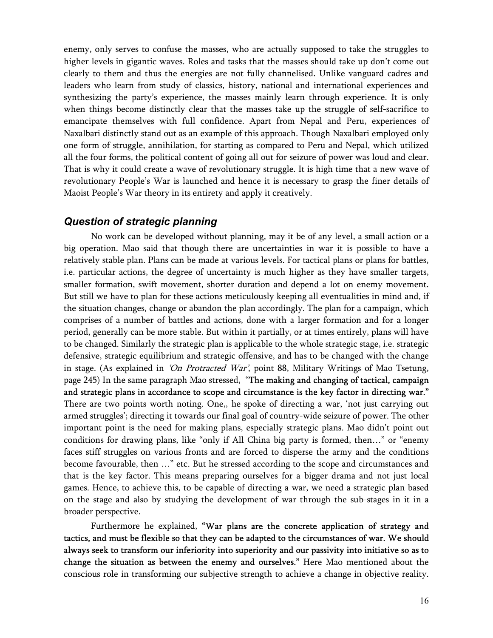enemy, only serves to confuse the masses, who are actually supposed to take the struggles to higher levels in gigantic waves. Roles and tasks that the masses should take up don't come out clearly to them and thus the energies are not fully channelised. Unlike vanguard cadres and leaders who learn from study of classics, history, national and international experiences and synthesizing the party's experience, the masses mainly learn through experience. It is only when things become distinctly clear that the masses take up the struggle of self-sacrifice to emancipate themselves with full confidence. Apart from Nepal and Peru, experiences of Naxalbari distinctly stand out as an example of this approach. Though Naxalbari employed only one form of struggle, annihilation, for starting as compared to Peru and Nepal, which utilized all the four forms, the political content of going all out for seizure of power was loud and clear. That is why it could create a wave of revolutionary struggle. It is high time that a new wave of revolutionary People's War is launched and hence it is necessary to grasp the finer details of Maoist People's War theory in its entirety and apply it creatively.

#### *Question of strategic planning*

No work can be developed without planning, may it be of any level, a small action or a big operation. Mao said that though there are uncertainties in war it is possible to have a relatively stable plan. Plans can be made at various levels. For tactical plans or plans for battles, i.e. particular actions, the degree of uncertainty is much higher as they have smaller targets, smaller formation, swift movement, shorter duration and depend a lot on enemy movement. But still we have to plan for these actions meticulously keeping all eventualities in mind and, if the situation changes, change or abandon the plan accordingly. The plan for a campaign, which comprises of a number of battles and actions, done with a larger formation and for a longer period, generally can be more stable. But within it partially, or at times entirely, plans will have to be changed. Similarly the strategic plan is applicable to the whole strategic stage, i.e. strategic defensive, strategic equilibrium and strategic offensive, and has to be changed with the change in stage. (As explained in 'On Protracted War', point 88, Military Writings of Mao Tsetung, page 245) In the same paragraph Mao stressed, "The making and changing of tactical, campaign and strategic plans in accordance to scope and circumstance is the key factor in directing war." There are two points worth noting. One,, he spoke of directing a war, 'not just carrying out armed struggles'; directing it towards our final goal of country-wide seizure of power. The other important point is the need for making plans, especially strategic plans. Mao didn't point out conditions for drawing plans, like "only if All China big party is formed, then…" or "enemy faces stiff struggles on various fronts and are forced to disperse the army and the conditions become favourable, then …" etc. But he stressed according to the scope and circumstances and that is the key factor. This means preparing ourselves for a bigger drama and not just local games. Hence, to achieve this, to be capable of directing a war, we need a strategic plan based on the stage and also by studying the development of war through the sub-stages in it in a broader perspective.

Furthermore he explained, "War plans are the concrete application of strategy and tactics, and must be flexible so that they can be adapted to the circumstances of war. We should always seek to transform our inferiority into superiority and our passivity into initiative so as to change the situation as between the enemy and ourselves." Here Mao mentioned about the conscious role in transforming our subjective strength to achieve a change in objective reality.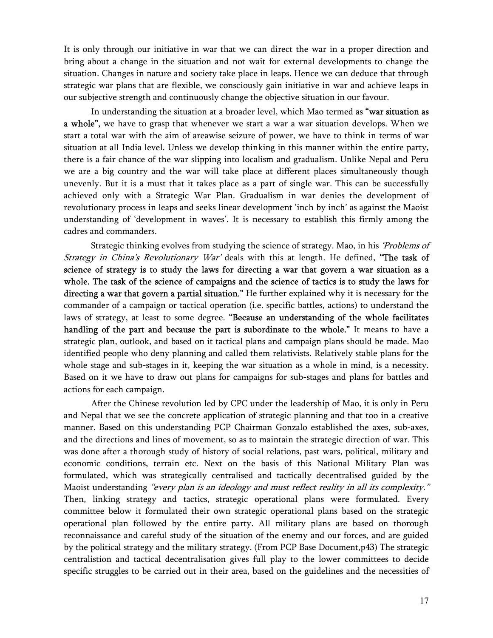It is only through our initiative in war that we can direct the war in a proper direction and bring about a change in the situation and not wait for external developments to change the situation. Changes in nature and society take place in leaps. Hence we can deduce that through strategic war plans that are flexible, we consciously gain initiative in war and achieve leaps in our subjective strength and continuously change the objective situation in our favour.

In understanding the situation at a broader level, which Mao termed as "war situation as a whole", we have to grasp that whenever we start a war a war situation develops. When we start a total war with the aim of areawise seizure of power, we have to think in terms of war situation at all India level. Unless we develop thinking in this manner within the entire party, there is a fair chance of the war slipping into localism and gradualism. Unlike Nepal and Peru we are a big country and the war will take place at different places simultaneously though unevenly. But it is a must that it takes place as a part of single war. This can be successfully achieved only with a Strategic War Plan. Gradualism in war denies the development of revolutionary process in leaps and seeks linear development 'inch by inch' as against the Maoist understanding of 'development in waves'. It is necessary to establish this firmly among the cadres and commanders.

Strategic thinking evolves from studying the science of strategy. Mao, in his 'Problems of Strategy in China's Revolutionary War' deals with this at length. He defined, "The task of science of strategy is to study the laws for directing a war that govern a war situation as a whole. The task of the science of campaigns and the science of tactics is to study the laws for directing a war that govern a partial situation." He further explained why it is necessary for the commander of a campaign or tactical operation (i.e. specific battles, actions) to understand the laws of strategy, at least to some degree. "Because an understanding of the whole facilitates handling of the part and because the part is subordinate to the whole." It means to have a strategic plan, outlook, and based on it tactical plans and campaign plans should be made. Mao identified people who deny planning and called them relativists. Relatively stable plans for the whole stage and sub-stages in it, keeping the war situation as a whole in mind, is a necessity. Based on it we have to draw out plans for campaigns for sub-stages and plans for battles and actions for each campaign.

After the Chinese revolution led by CPC under the leadership of Mao, it is only in Peru and Nepal that we see the concrete application of strategic planning and that too in a creative manner. Based on this understanding PCP Chairman Gonzalo established the axes, sub-axes, and the directions and lines of movement, so as to maintain the strategic direction of war. This was done after a thorough study of history of social relations, past wars, political, military and economic conditions, terrain etc. Next on the basis of this National Military Plan was formulated, which was strategically centralised and tactically decentralised guided by the Maoist understanding *"every plan is an ideology and must reflect reality in all its complexity."* Then, linking strategy and tactics, strategic operational plans were formulated. Every committee below it formulated their own strategic operational plans based on the strategic operational plan followed by the entire party. All military plans are based on thorough reconnaissance and careful study of the situation of the enemy and our forces, and are guided by the political strategy and the military strategy. (From PCP Base Document,p43) The strategic centralistion and tactical decentralisation gives full play to the lower committees to decide specific struggles to be carried out in their area, based on the guidelines and the necessities of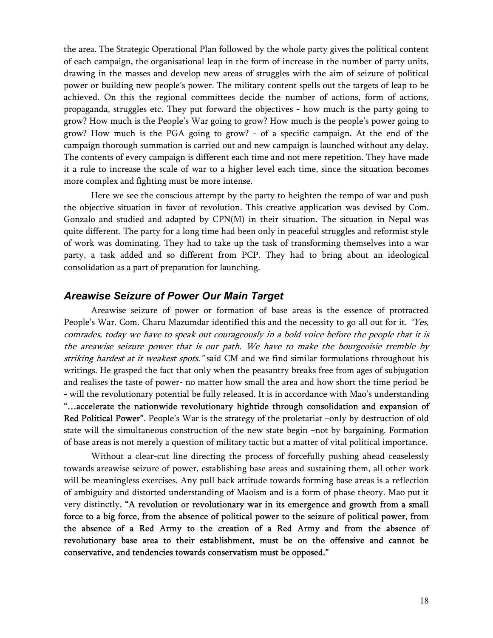the area. The Strategic Operational Plan followed by the whole party gives the political content of each campaign, the organisational leap in the form of increase in the number of party units, drawing in the masses and develop new areas of struggles with the aim of seizure of political power or building new people's power. The military content spells out the targets of leap to be achieved. On this the regional committees decide the number of actions, form of actions, propaganda, struggles etc. They put forward the objectives - how much is the party going to grow? How much is the People's War going to grow? How much is the people's power going to grow? How much is the PGA going to grow? - of a specific campaign. At the end of the campaign thorough summation is carried out and new campaign is launched without any delay. The contents of every campaign is different each time and not mere repetition. They have made it a rule to increase the scale of war to a higher level each time, since the situation becomes more complex and fighting must be more intense.

Here we see the conscious attempt by the party to heighten the tempo of war and push the objective situation in favor of revolution. This creative application was devised by Com. Gonzalo and studied and adapted by CPN(M) in their situation. The situation in Nepal was quite different. The party for a long time had been only in peaceful struggles and reformist style of work was dominating. They had to take up the task of transforming themselves into a war party, a task added and so different from PCP. They had to bring about an ideological consolidation as a part of preparation for launching.

#### *Areawise Seizure of Power Our Main Target*

Areawise seizure of power or formation of base areas is the essence of protracted People's War. Com. Charu Mazumdar identified this and the necessity to go all out for it. "Yes, comrades, today we have to speak out courageously in a bold voice before the people that it is the areawise seizure power that is our path. We have to make the bourgeoisie tremble by striking hardest at it weakest spots." said CM and we find similar formulations throughout his writings. He grasped the fact that only when the peasantry breaks free from ages of subjugation and realises the taste of power- no matter how small the area and how short the time period be - will the revolutionary potential be fully released. It is in accordance with Mao's understanding "…accelerate the nationwide revolutionary hightide through consolidation and expansion of Red Political Power". People's War is the strategy of the proletariat –only by destruction of old state will the simultaneous construction of the new state begin –not by bargaining. Formation of base areas is not merely a question of military tactic but a matter of vital political importance.

Without a clear-cut line directing the process of forcefully pushing ahead ceaselessly towards areawise seizure of power, establishing base areas and sustaining them, all other work will be meaningless exercises. Any pull back attitude towards forming base areas is a reflection of ambiguity and distorted understanding of Maoism and is a form of phase theory. Mao put it very distinctly, "A revolution or revolutionary war in its emergence and growth from a small force to a big force, from the absence of political power to the seizure of political power, from the absence of a Red Army to the creation of a Red Army and from the absence of revolutionary base area to their establishment, must be on the offensive and cannot be conservative, and tendencies towards conservatism must be opposed."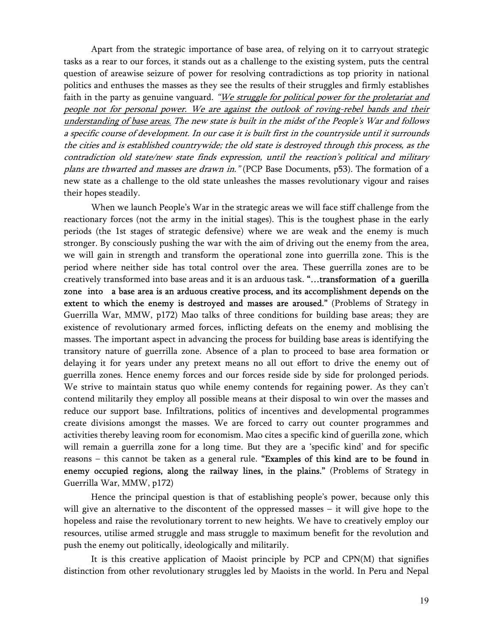Apart from the strategic importance of base area, of relying on it to carryout strategic tasks as a rear to our forces, it stands out as a challenge to the existing system, puts the central question of areawise seizure of power for resolving contradictions as top priority in national politics and enthuses the masses as they see the results of their struggles and firmly establishes faith in the party as genuine vanguard. "We struggle for political power for the proletariat and people not for personal power. We are against the outlook of roving-rebel bands and their understanding of base areas. The new state is built in the midst of the People's War and follows a specific course of development. In our case it is built first in the countryside until it surrounds the cities and is established countrywide; the old state is destroyed through this process, as the contradiction old state/new state finds expression, until the reaction's political and military plans are thwarted and masses are drawn in." (PCP Base Documents, p53). The formation of a new state as a challenge to the old state unleashes the masses revolutionary vigour and raises their hopes steadily.

When we launch People's War in the strategic areas we will face stiff challenge from the reactionary forces (not the army in the initial stages). This is the toughest phase in the early periods (the 1st stages of strategic defensive) where we are weak and the enemy is much stronger. By consciously pushing the war with the aim of driving out the enemy from the area, we will gain in strength and transform the operational zone into guerrilla zone. This is the period where neither side has total control over the area. These guerrilla zones are to be creatively transformed into base areas and it is an arduous task. "…transformation of a guerilla zone into a base area is an arduous creative process, and its accomplishment depends on the extent to which the enemy is destroyed and masses are aroused." (Problems of Strategy in Guerrilla War, MMW, p172) Mao talks of three conditions for building base areas; they are existence of revolutionary armed forces, inflicting defeats on the enemy and moblising the masses. The important aspect in advancing the process for building base areas is identifying the transitory nature of guerrilla zone. Absence of a plan to proceed to base area formation or delaying it for years under any pretext means no all out effort to drive the enemy out of guerrilla zones. Hence enemy forces and our forces reside side by side for prolonged periods. We strive to maintain status quo while enemy contends for regaining power. As they can't contend militarily they employ all possible means at their disposal to win over the masses and reduce our support base. Infiltrations, politics of incentives and developmental programmes create divisions amongst the masses. We are forced to carry out counter programmes and activities thereby leaving room for economism. Mao cites a specific kind of guerilla zone, which will remain a guerrilla zone for a long time. But they are a 'specific kind' and for specific reasons – this cannot be taken as a general rule. "Examples of this kind are to be found in enemy occupied regions, along the railway lines, in the plains." (Problems of Strategy in Guerrilla War, MMW, p172)

Hence the principal question is that of establishing people's power, because only this will give an alternative to the discontent of the oppressed masses – it will give hope to the hopeless and raise the revolutionary torrent to new heights. We have to creatively employ our resources, utilise armed struggle and mass struggle to maximum benefit for the revolution and push the enemy out politically, ideologically and militarily.

It is this creative application of Maoist principle by PCP and CPN(M) that signifies distinction from other revolutionary struggles led by Maoists in the world. In Peru and Nepal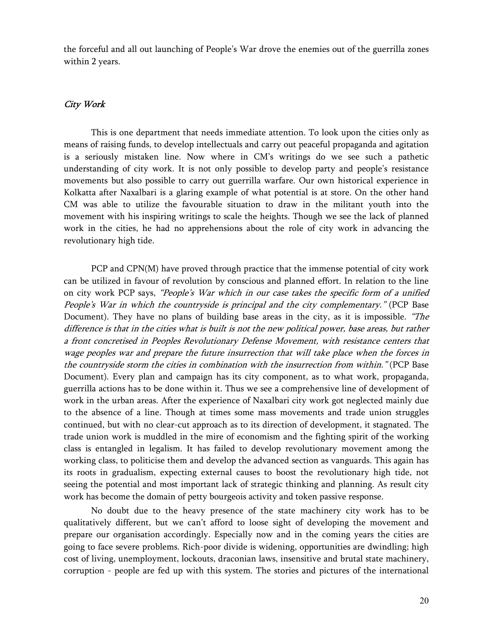the forceful and all out launching of People's War drove the enemies out of the guerrilla zones within 2 years.

#### City Work

This is one department that needs immediate attention. To look upon the cities only as means of raising funds, to develop intellectuals and carry out peaceful propaganda and agitation is a seriously mistaken line. Now where in CM's writings do we see such a pathetic understanding of city work. It is not only possible to develop party and people's resistance movements but also possible to carry out guerrilla warfare. Our own historical experience in Kolkatta after Naxalbari is a glaring example of what potential is at store. On the other hand CM was able to utilize the favourable situation to draw in the militant youth into the movement with his inspiring writings to scale the heights. Though we see the lack of planned work in the cities, he had no apprehensions about the role of city work in advancing the revolutionary high tide.

PCP and CPN(M) have proved through practice that the immense potential of city work can be utilized in favour of revolution by conscious and planned effort. In relation to the line on city work PCP says, "People's War which in our case takes the specific form of a unified People's War in which the countryside is principal and the city complementary." (PCP Base Document). They have no plans of building base areas in the city, as it is impossible. "The difference is that in the cities what is built is not the new political power, base areas, but rather a front concretised in Peoples Revolutionary Defense Movement, with resistance centers that wage peoples war and prepare the future insurrection that will take place when the forces in the countryside storm the cities in combination with the insurrection from within." (PCP Base Document). Every plan and campaign has its city component, as to what work, propaganda, guerrilla actions has to be done within it. Thus we see a comprehensive line of development of work in the urban areas. After the experience of Naxalbari city work got neglected mainly due to the absence of a line. Though at times some mass movements and trade union struggles continued, but with no clear-cut approach as to its direction of development, it stagnated. The trade union work is muddled in the mire of economism and the fighting spirit of the working class is entangled in legalism. It has failed to develop revolutionary movement among the working class, to politicise them and develop the advanced section as vanguards. This again has its roots in gradualism, expecting external causes to boost the revolutionary high tide, not seeing the potential and most important lack of strategic thinking and planning. As result city work has become the domain of petty bourgeois activity and token passive response.

No doubt due to the heavy presence of the state machinery city work has to be qualitatively different, but we can't afford to loose sight of developing the movement and prepare our organisation accordingly. Especially now and in the coming years the cities are going to face severe problems. Rich-poor divide is widening, opportunities are dwindling; high cost of living, unemployment, lockouts, draconian laws, insensitive and brutal state machinery, corruption - people are fed up with this system. The stories and pictures of the international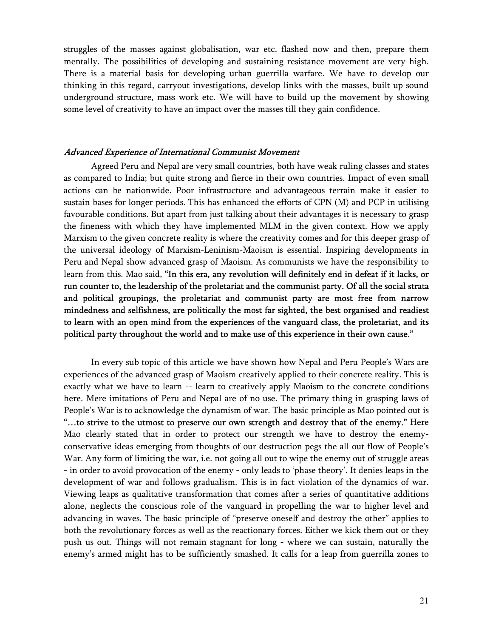struggles of the masses against globalisation, war etc. flashed now and then, prepare them mentally. The possibilities of developing and sustaining resistance movement are very high. There is a material basis for developing urban guerrilla warfare. We have to develop our thinking in this regard, carryout investigations, develop links with the masses, built up sound underground structure, mass work etc. We will have to build up the movement by showing some level of creativity to have an impact over the masses till they gain confidence.

#### Advanced Experience of International Communist Movement

Agreed Peru and Nepal are very small countries, both have weak ruling classes and states as compared to India; but quite strong and fierce in their own countries. Impact of even small actions can be nationwide. Poor infrastructure and advantageous terrain make it easier to sustain bases for longer periods. This has enhanced the efforts of CPN (M) and PCP in utilising favourable conditions. But apart from just talking about their advantages it is necessary to grasp the fineness with which they have implemented MLM in the given context. How we apply Marxism to the given concrete reality is where the creativity comes and for this deeper grasp of the universal ideology of Marxism-Leninism-Maoism is essential. Inspiring developments in Peru and Nepal show advanced grasp of Maoism. As communists we have the responsibility to learn from this. Mao said, "In this era, any revolution will definitely end in defeat if it lacks, or run counter to, the leadership of the proletariat and the communist party. Of all the social strata and political groupings, the proletariat and communist party are most free from narrow mindedness and selfishness, are politically the most far sighted, the best organised and readiest to learn with an open mind from the experiences of the vanguard class, the proletariat, and its political party throughout the world and to make use of this experience in their own cause."

In every sub topic of this article we have shown how Nepal and Peru People's Wars are experiences of the advanced grasp of Maoism creatively applied to their concrete reality. This is exactly what we have to learn -- learn to creatively apply Maoism to the concrete conditions here. Mere imitations of Peru and Nepal are of no use. The primary thing in grasping laws of People's War is to acknowledge the dynamism of war. The basic principle as Mao pointed out is "…to strive to the utmost to preserve our own strength and destroy that of the enemy." Here Mao clearly stated that in order to protect our strength we have to destroy the enemyconservative ideas emerging from thoughts of our destruction pegs the all out flow of People's War. Any form of limiting the war, i.e. not going all out to wipe the enemy out of struggle areas - in order to avoid provocation of the enemy - only leads to 'phase theory'. It denies leaps in the development of war and follows gradualism. This is in fact violation of the dynamics of war. Viewing leaps as qualitative transformation that comes after a series of quantitative additions alone, neglects the conscious role of the vanguard in propelling the war to higher level and advancing in waves. The basic principle of "preserve oneself and destroy the other" applies to both the revolutionary forces as well as the reactionary forces. Either we kick them out or they push us out. Things will not remain stagnant for long - where we can sustain, naturally the enemy's armed might has to be sufficiently smashed. It calls for a leap from guerrilla zones to